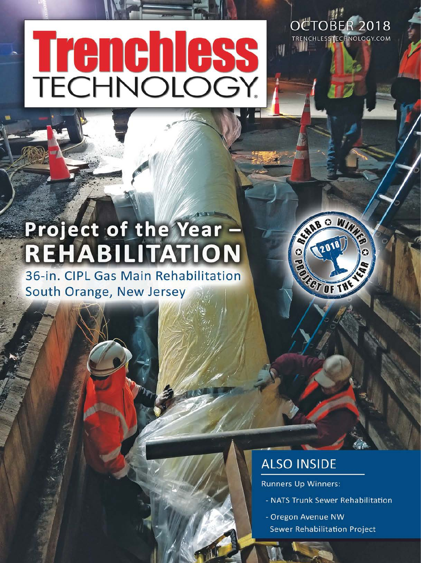# **Trenchless**<br>TECHNOLOGY

OCTOBER 2018 TRENCHLESSTECHNOLOGY.COM

# **Project of the Year REHABILITATION**

36-in. CIPL Gas Main Rehabilitation South Orange, New Jersey



# **ALSO INSIDE**

**Runners Up Winners:** 

- NATS Trunk Sewer Rehabilitation
- Oregon Avenue NW **Sewer Rehabilitation Project**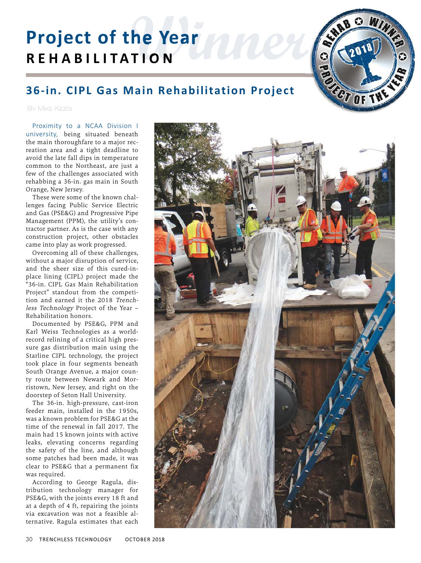# **Rear mex Project of the Year REHABILITATION**



## **36-in. CIPL Gas Main Rehabilitation Project**

By Mike Kezdi

Proximity to a NCAA Division I university, being situated beneath the main thoroughfare to a major recreation area and a tight deadline to avoid the late fall dips in temperature common to the Northeast, are just a few of the challenges associated with rehabbing a 36-in. gas main in South Orange, New Jersey.

These were some of the known challenges facing Public Service Electric and Gas (PSE&G) and Progressive Pipe Management (PPM), the utility's contractor partner. As is the case with any construction project, other obstacles came into play as work progressed.

Overcoming all of these challenges, without a major disruption of service, and the sheer size of this cured-inplace lining (CIPL) project made the "36-in. CIPL Gas Main Rehabilitation Project" standout from the competition and earned it the 2018 Trenchless Technology Project of the Year – Rehabilitation honors.

Documented by PSE&G, PPM and Karl Weiss Technologies as a worldrecord relining of a critical high pressure gas distribution main using the Starline CIPL technology, the project took place in four segments beneath South Orange Avenue, a major county route between Newark and Morristown, New Jersey, and right on the doorstep of Seton Hall University.

The 36-in. high-pressure, cast-iron feeder main, installed in the 1950s, was a known problem for PSE&G at the time of the renewal in fall 2017. The main had 15 known joints with active leaks, elevating concerns regarding the safety of the line, and although some patches had been made, it was clear to PSE&G that a permanent fix was required.

According to George Ragula, distribution technology manager for PSE&G, with the joints every 18 ft and at a depth of 4 ft, repairing the joints via excavation was not a feasible alternative. Ragula estimates that each

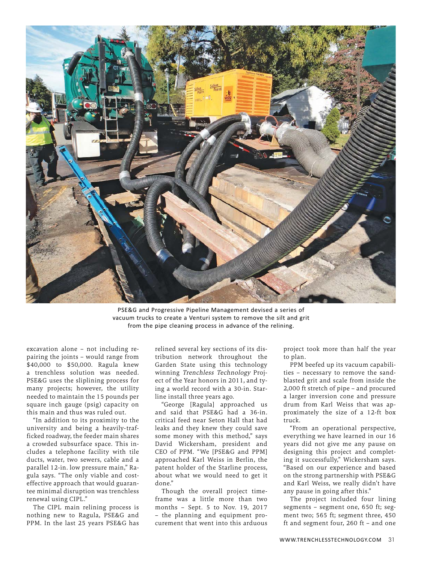

PSE&G and Progressive Pipeline Management devised a series of vacuum trucks to create a Venturi system to remove the silt and grit from the pipe cleaning process in advance of the relining.

excavation alone – not including repairing the joints – would range from \$40,000 to \$50,000. Ragula knew a trenchless solution was needed. PSE&G uses the sliplining process for many projects; however, the utility needed to maintain the 15 pounds per square inch gauge (psig) capacity on this main and thus was ruled out.

"In addition to its proximity to the university and being a heavily-trafficked roadway, the feeder main shares a crowded subsurface space. This includes a telephone facility with tile ducts, water, two sewers, cable and a parallel 12-in. low pressure main," Ragula says. "The only viable and costeffective approach that would guarantee minimal disruption was trenchless renewal using CIPL."

The CIPL main relining process is nothing new to Ragula, PSE&G and PPM. In the last 25 years PSE&G has

relined several key sections of its distribution network throughout the Garden State using this technology winning Trenchless Technology Project of the Year honors in 2011, and tying a world record with a 30-in. Starline install three years ago.

"George [Ragula] approached us and said that PSE&G had a 36-in. critical feed near Seton Hall that had leaks and they knew they could save some money with this method," says David Wickersham, president and CEO of PPM. " We [PSE&G and PPM] approached Karl Weiss in Berlin, the patent holder of the Starline process, about what we would need to get it done."

Though the overall project timeframe was a little more than two months – Sept. 5 to Nov. 19, 2017 – the planning and equipment procurement that went into this arduous project took more than half the year to plan.

PPM beefed up its vacuum capabilities – necessary to remove the sandblasted grit and scale from inside the 2,000 ft stretch of pipe – and procured a larger inversion cone and pressure drum from Karl Weiss that was approximately the size of a 12-ft box truck.

"From an operational perspective, everything we have learned in our 16 years did not give me any pause on designing this project and completing it successfully," Wickersham says. "Based on our experience and based on the strong partnership with PSE&G and Karl Weiss, we really didn't have any pause in going after this."

The project included four lining segments – segment one, 650 ft; segment two; 565 ft; segment three, 450 ft and segment four, 260 ft – and one